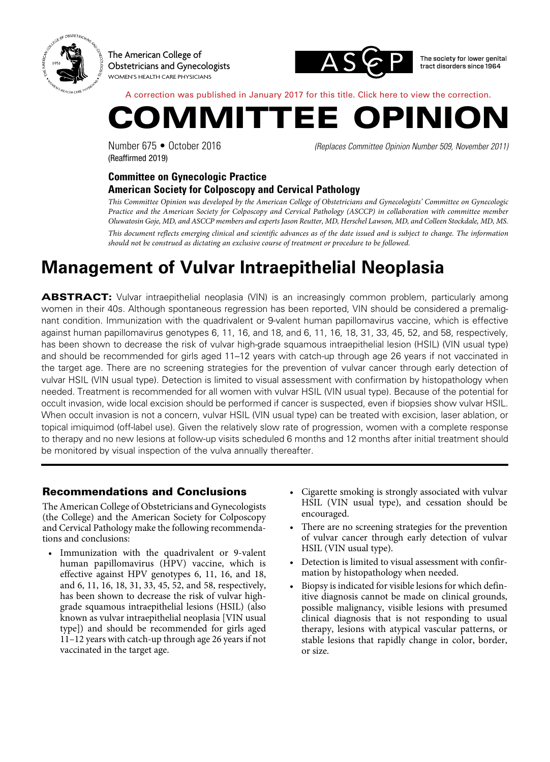

The American College of Obstetricians and Gynecologists WOMEN'S HEALTH CARE PHYSICIANS



The society for lower genital tract disorders since 1964

A correction was published in January 2017 for this title. [Click here to view the correction](#page-4-0).



(Reaffirmed 2019)

Number 675 • October 2016 *(Replaces Committee Opinion Number 509, November 2011)*

## **Committee on Gynecologic Practice American Society for Colposcopy and Cervical Pathology**

*This Committee Opinion was developed by the American College of Obstetricians and Gynecologists' Committee on Gynecologic Practice and the American Society for Colposcopy and Cervical Pathology (ASCCP) in collaboration with committee member Oluwatosin Goje, MD, and ASCCP members and experts Jason Reutter, MD, Herschel Lawson, MD, and Colleen Stockdale, MD, MS. This document reflects emerging clinical and scientific advances as of the date issued and is subject to change. The information should not be construed as dictating an exclusive course of treatment or procedure to be followed.*

# **Management of Vulvar Intraepithelial Neoplasia**

ABSTRACT: Vulvar intraepithelial neoplasia (VIN) is an increasingly common problem, particularly among women in their 40s. Although spontaneous regression has been reported, VIN should be considered a premalignant condition. Immunization with the quadrivalent or 9-valent human papillomavirus vaccine, which is effective against human papillomavirus genotypes 6, 11, 16, and 18, and 6, 11, 16, 18, 31, 33, 45, 52, and 58, respectively, has been shown to decrease the risk of vulvar high-grade squamous intraepithelial lesion (HSIL) (VIN usual type) and should be recommended for girls aged 11–12 years with catch-up through age 26 years if not vaccinated in the target age. There are no screening strategies for the prevention of vulvar cancer through early detection of vulvar HSIL (VIN usual type). Detection is limited to visual assessment with confirmation by histopathology when needed. Treatment is recommended for all women with vulvar HSIL (VIN usual type). Because of the potential for occult invasion, wide local excision should be performed if cancer is suspected, even if biopsies show vulvar HSIL. When occult invasion is not a concern, vulvar HSIL (VIN usual type) can be treated with excision, laser ablation, or topical imiquimod (off-label use). Given the relatively slow rate of progression, women with a complete response to therapy and no new lesions at follow-up visits scheduled 6 months and 12 months after initial treatment should be monitored by visual inspection of the vulva annually thereafter.

# Recommendations and Conclusions

The American College of Obstetricians and Gynecologists (the College) and the American Society for Colposcopy and Cervical Pathology make the following recommendations and conclusions:

- Immunization with the quadrivalent or 9-valent human papillomavirus (HPV) vaccine, which is effective against HPV genotypes 6, 11, 16, and 18, and 6, 11, 16, 18, 31, 33, 45, 52, and 58, respectively, has been shown to decrease the risk of vulvar highgrade squamous intraepithelial lesions (HSIL) (also known as vulvar intraepithelial neoplasia [VIN usual type]) and should be recommended for girls aged 11–12 years with catch-up through age 26 years if not vaccinated in the target age.
- Cigarette smoking is strongly associated with vulvar HSIL (VIN usual type), and cessation should be encouraged.
- There are no screening strategies for the prevention of vulvar cancer through early detection of vulvar HSIL (VIN usual type).
- Detection is limited to visual assessment with confirmation by histopathology when needed.
- Biopsy is indicated for visible lesions for which definitive diagnosis cannot be made on clinical grounds, possible malignancy, visible lesions with presumed clinical diagnosis that is not responding to usual therapy, lesions with atypical vascular patterns, or stable lesions that rapidly change in color, border, or size.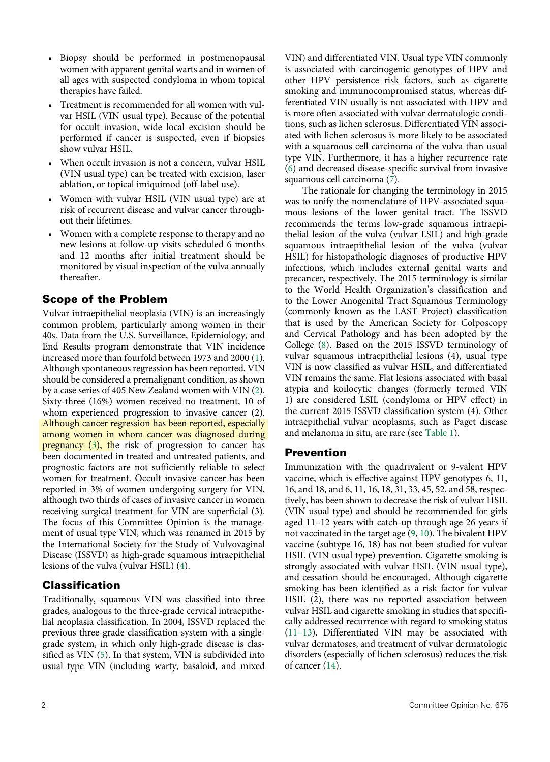- Biopsy should be performed in postmenopausal women with apparent genital warts and in women of all ages with suspected condyloma in whom topical therapies have failed.
- Treatment is recommended for all women with vulvar HSIL (VIN usual type). Because of the potential for occult invasion, wide local excision should be performed if cancer is suspected, even if biopsies show vulvar HSIL.
- When occult invasion is not a concern, vulvar HSIL (VIN usual type) can be treated with excision, laser ablation, or topical imiquimod (off-label use).
- Women with vulvar HSIL (VIN usual type) are at risk of recurrent disease and vulvar cancer throughout their lifetimes.
- Women with a complete response to therapy and no new lesions at follow-up visits scheduled 6 months and 12 months after initial treatment should be monitored by visual inspection of the vulva annually thereafter.

# Scope of the Problem

<span id="page-1-3"></span><span id="page-1-2"></span><span id="page-1-1"></span>Vulvar intraepithelial neoplasia (VIN) is an increasingly common problem, particularly among women in their 40s. Data from the U.S. Surveillance, Epidemiology, and End Results program demonstrate that VIN incidence increased more than fourfold between 1973 and 2000 ([1](#page-3-0)). Although spontaneous regression has been reported, VIN should be considered a premalignant condition, as shown by a case series of 405 New Zealand women with VIN ([2](#page-3-1)). Sixty-three (16%) women received no treatment, 10 of whom experienced progression to invasive cancer (2). Although cancer regression has been reported, especially among women in whom cancer was diagnosed during pregnancy [\(3\)](#page-3-2), the risk of progression to cancer has been documented in treated and untreated patients, and prognostic factors are not sufficiently reliable to select women for treatment. Occult invasive cancer has been reported in 3% of women undergoing surgery for VIN, although two thirds of cases of invasive cancer in women receiving surgical treatment for VIN are superficial (3). The focus of this Committee Opinion is the management of usual type VIN, which was renamed in 2015 by the International Society for the Study of Vulvovaginal Disease (ISSVD) as high-grade squamous intraepithelial lesions of the vulva (vulvar HSIL) ([4](#page-3-3)).

# <span id="page-1-4"></span>Classification

<span id="page-1-5"></span>Traditionally, squamous VIN was classified into three grades, analogous to the three-grade cervical intraepithelial neoplasia classification. In 2004, ISSVD replaced the previous three-grade classification system with a singlegrade system, in which only high-grade disease is classified as VIN ([5](#page-3-4)). In that system, VIN is subdivided into usual type VIN (including warty, basaloid, and mixed VIN) and differentiated VIN. Usual type VIN commonly is associated with carcinogenic genotypes of HPV and other HPV persistence risk factors, such as cigarette smoking and immunocompromised status, whereas differentiated VIN usually is not associated with HPV and is more often associated with vulvar dermatologic conditions, such as lichen sclerosus. Differentiated VIN associated with lichen sclerosus is more likely to be associated with a squamous cell carcinoma of the vulva than usual type VIN. Furthermore, it has a higher recurrence rate [\(6](#page-3-5)) and decreased disease-specific survival from invasive squamous cell carcinoma [\(7](#page-3-6)).

<span id="page-1-7"></span><span id="page-1-6"></span>The rationale for changing the terminology in 2015 was to unify the nomenclature of HPV-associated squamous lesions of the lower genital tract. The ISSVD recommends the terms low-grade squamous intraepithelial lesion of the vulva (vulvar LSIL) and high-grade squamous intraepithelial lesion of the vulva (vulvar HSIL) for histopathologic diagnoses of productive HPV infections, which includes external genital warts and precancer, respectively. The 2015 terminology is similar to the World Health Organization's classification and to the Lower Anogenital Tract Squamous Terminology (commonly known as the LAST Project) classification that is used by the American Society for Colposcopy and Cervical Pathology and has been adopted by the College [\(8\)](#page-3-7). Based on the 2015 ISSVD terminology of vulvar squamous intraepithelial lesions (4), usual type VIN is now classified as vulvar HSIL, and differentiated VIN remains the same. Flat lesions associated with basal atypia and koilocytic changes (formerly termed VIN 1) are considered LSIL (condyloma or HPV effect) in the current 2015 ISSVD classification system (4). Other intraepithelial vulvar neoplasms, such as Paget disease and melanoma in situ, are rare (see [Table 1\)](#page-2-0).

## <span id="page-1-8"></span><span id="page-1-0"></span>Prevention

<span id="page-1-12"></span><span id="page-1-11"></span><span id="page-1-10"></span><span id="page-1-9"></span>Immunization with the quadrivalent or 9-valent HPV vaccine, which is effective against HPV genotypes 6, 11, 16, and 18, and 6, 11, 16, 18, 31, 33, 45, 52, and 58, respectively, has been shown to decrease the risk of vulvar HSIL (VIN usual type) and should be recommended for girls aged 11–12 years with catch-up through age 26 years if not vaccinated in the target age [\(9,](#page-3-8) [10\)](#page-3-9). The bivalent HPV vaccine (subtype 16, 18) has not been studied for vulvar HSIL (VIN usual type) prevention. Cigarette smoking is strongly associated with vulvar HSIL (VIN usual type), and cessation should be encouraged. Although cigarette smoking has been identified as a risk factor for vulvar HSIL (2), there was no reported association between vulvar HSIL and cigarette smoking in studies that specifically addressed recurrence with regard to smoking status [\(11–13\)](#page-3-10). Differentiated VIN may be associated with vulvar dermatoses, and treatment of vulvar dermatologic disorders (especially of lichen sclerosus) reduces the risk of cancer [\(14\)](#page-4-1).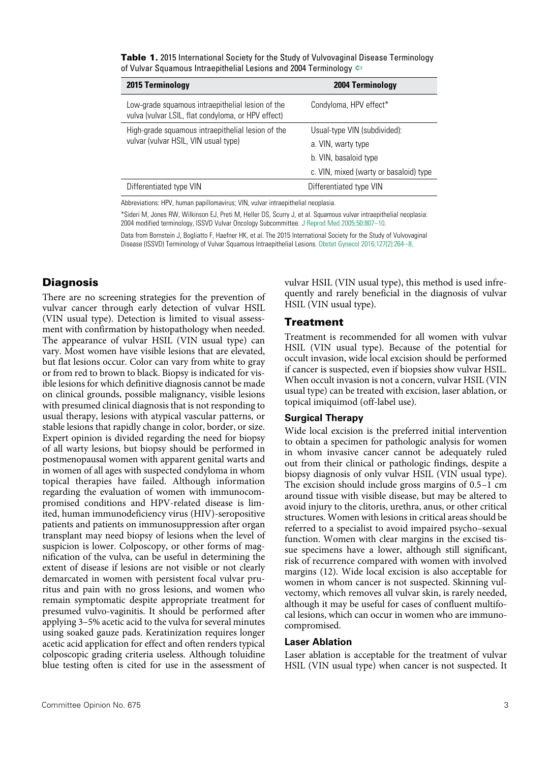| 2004 Terminology                       |
|----------------------------------------|
| Condyloma, HPV effect*                 |
| Usual-type VIN (subdivided):           |
| a. VIN, warty type                     |
| b. VIN, basaloid type                  |
| c. VIN, mixed (warty or basaloid) type |
| Differentiated type VIN                |
|                                        |

<span id="page-2-0"></span>Table 1. 2015 International Society for the Study of Vulvovaginal Disease Terminology of Vulvar Squamous Intraepithelial Lesions and 2004 Terminology  $\Leftrightarrow$ 

Abbreviations: HPV, human papillomavirus; VIN, vulvar intraepithelial neoplasia.

\*Sideri M, Jones RW, Wilkinson EJ, Preti M, Heller DS, Scurry J, et al. Squamous vulvar intraepithelial neoplasia: 2004 modified terminology, ISSVD Vulvar Oncology Subcommittee. [J Reprod Med 2005;50:807–10](http://www.ncbi.nlm.nih.gov/pubmed/16419625).

Data from Bornstein J, Bogliatto F, Haefner HK, et al. The 2015 International Society for the Study of Vulvovaginal Disease (ISSVD) Terminology of Vulvar Squamous Intraepithelial Lesions. [Obstet Gynecol 2016;127\(2\):264–8](http://www.ncbi.nlm.nih.gov/pubmed/26942352).

## **Diagnosis**

There are no screening strategies for the prevention of vulvar cancer through early detection of vulvar HSIL (VIN usual type). Detection is limited to visual assessment with confirmation by histopathology when needed. The appearance of vulvar HSIL (VIN usual type) can vary. Most women have visible lesions that are elevated, but flat lesions occur. Color can vary from white to gray or from red to brown to black. Biopsy is indicated for visible lesions for which definitive diagnosis cannot be made on clinical grounds, possible malignancy, visible lesions with presumed clinical diagnosis that is not responding to usual therapy, lesions with atypical vascular patterns, or stable lesions that rapidly change in color, border, or size. Expert opinion is divided regarding the need for biopsy of all warty lesions, but biopsy should be performed in postmenopausal women with apparent genital warts and in women of all ages with suspected condyloma in whom topical therapies have failed. Although information regarding the evaluation of women with immunocompromised conditions and HPV-related disease is limited, human immunodeficiency virus (HIV)-seropositive patients and patients on immunosuppression after organ transplant may need biopsy of lesions when the level of suspicion is lower. Colposcopy, or other forms of magnification of the vulva, can be useful in determining the extent of disease if lesions are not visible or not clearly demarcated in women with persistent focal vulvar pruritus and pain with no gross lesions, and women who remain symptomatic despite appropriate treatment for presumed vulvo-vaginitis. It should be performed after applying 3–5% acetic acid to the vulva for several minutes using soaked gauze pads. Keratinization requires longer acetic acid application for effect and often renders typical colposcopic grading criteria useless. Although toluidine blue testing often is cited for use in the assessment of vulvar HSIL (VIN usual type), this method is used infrequently and rarely beneficial in the diagnosis of vulvar HSIL (VIN usual type).

## Treatment

Treatment is recommended for all women with vulvar HSIL (VIN usual type). Because of the potential for occult invasion, wide local excision should be performed if cancer is suspected, even if biopsies show vulvar HSIL. When occult invasion is not a concern, vulvar HSIL (VIN usual type) can be treated with excision, laser ablation, or topical imiquimod (off-label use).

#### **Surgical Therapy**

Wide local excision is the preferred initial intervention to obtain a specimen for pathologic analysis for women in whom invasive cancer cannot be adequately ruled out from their clinical or pathologic findings, despite a biopsy diagnosis of only vulvar HSIL (VIN usual type). The excision should include gross margins of 0.5–1 cm around tissue with visible disease, but may be altered to avoid injury to the clitoris, urethra, anus, or other critical structures. Women with lesions in critical areas should be referred to a specialist to avoid impaired psycho–sexual function. Women with clear margins in the excised tissue specimens have a lower, although still significant, risk of recurrence compared with women with involved margins (12). Wide local excision is also acceptable for women in whom cancer is not suspected. Skinning vulvectomy, which removes all vulvar skin, is rarely needed, although it may be useful for cases of confluent multifocal lesions, which can occur in women who are immunocompromised.

#### **Laser Ablation**

Laser ablation is acceptable for the treatment of vulvar HSIL (VIN usual type) when cancer is not suspected. It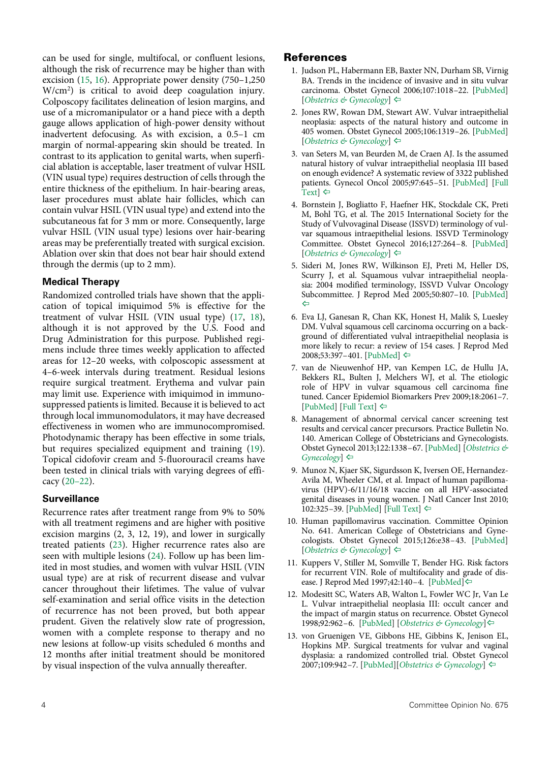<span id="page-3-15"></span><span id="page-3-14"></span>can be used for single, multifocal, or confluent lesions, although the risk of recurrence may be higher than with excision ([15](#page-4-2), [16\)](#page-4-3). Appropriate power density (750–1,250 W/cm2 ) is critical to avoid deep coagulation injury. Colposcopy facilitates delineation of lesion margins, and use of a micromanipulator or a hand piece with a depth gauge allows application of high-power density without inadvertent defocusing. As with excision, a 0.5–1 cm margin of normal-appearing skin should be treated. In contrast to its application to genital warts, when superficial ablation is acceptable, laser treatment of vulvar HSIL (VIN usual type) requires destruction of cells through the entire thickness of the epithelium. In hair-bearing areas, laser procedures must ablate hair follicles, which can contain vulvar HSIL (VIN usual type) and extend into the subcutaneous fat for 3 mm or more. Consequently, large vulvar HSIL (VIN usual type) lesions over hair-bearing areas may be preferentially treated with surgical excision. Ablation over skin that does not bear hair should extend through the dermis (up to 2 mm).

## **Medical Therapy**

<span id="page-3-16"></span>Randomized controlled trials have shown that the application of topical imiquimod 5% is effective for the treatment of vulvar HSIL (VIN usual type) [\(17,](#page-4-4) [18](#page-4-5)), although it is not approved by the U.S. Food and Drug Administration for this purpose. Published regimens include three times weekly application to affected areas for 12–20 weeks, with colposcopic assessment at 4–6-week intervals during treatment. Residual lesions require surgical treatment. Erythema and vulvar pain may limit use. Experience with imiquimod in immunosuppressed patients is limited. Because it is believed to act through local immunomodulators, it may have decreased effectiveness in women who are immunocompromised. Photodynamic therapy has been effective in some trials, but requires specialized equipment and training ([19](#page-4-6)). Topical cidofovir cream and 5-fluorouracil creams have been tested in clinical trials with varying degrees of efficacy [\(20–22](#page-4-7)).

## <span id="page-3-18"></span><span id="page-3-11"></span>**Surveillance**

<span id="page-3-13"></span><span id="page-3-12"></span>Recurrence rates after treatment range from 9% to 50% with all treatment regimens and are higher with positive excision margins (2, 3, 12, 19), and lower in surgically treated patients [\(23\)](#page-4-8). Higher recurrence rates also are seen with multiple lesions [\(24\)](#page-4-9). Follow up has been limited in most studies, and women with vulvar HSIL (VIN usual type) are at risk of recurrent disease and vulvar cancer throughout their lifetimes. The value of vulvar self-examination and serial office visits in the detection of recurrence has not been proved, but both appear prudent. Given the relatively slow rate of progression, women with a complete response to therapy and no new lesions at follow-up visits scheduled 6 months and 12 months after initial treatment should be monitored by visual inspection of the vulva annually thereafter.

## References

- <span id="page-3-0"></span>1. Judson PL, Habermann EB, Baxter NN, Durham SB, Virnig BA. Trends in the incidence of invasive and in situ vulvar carcinoma. Obstet Gynecol 2006;107:1018–22. [\[PubMed\]](http://www.ncbi.nlm.nih.gov/pubmed/16648405) [*[Obstetrics & Gynecology](http://journals.lww.com/greenjournal/Fulltext/2006/05000/Trends_in_the_Incidence_of_Invasive_and_In_Situ.10.aspx)*] [^](#page-1-1)
- <span id="page-3-1"></span>2. Jones RW, Rowan DM, Stewart AW. Vulvar intraepithelial neoplasia: aspects of the natural history and outcome in 405 women. Obstet Gynecol 2005;106:1319–26. [\[PubMed\]](http://www.ncbi.nlm.nih.gov/pubmed/16319258) [*[Obstetrics & Gynecology](http://journals.lww.com/greenjournal/Fulltext/2005/12000/Vulvar_Intraepithelial_Neoplasia__Aspects_of_the.17.aspx)*] [^](#page-1-2)
- <span id="page-3-2"></span>3. van Seters M, van Beurden M, de Craen AJ. Is the assumed natural history of vulvar intraepithelial neoplasia III based on enough evidence? A systematic review of 3322 published patients. Gynecol Oncol 2005;97:645–51. [\[PubMed\]](http://www.ncbi.nlm.nih.gov/pubmed/15863172) [\[Full](http://www.sciencedirect.com/science/article/pii/S0090825805001289) [Text](http://www.sciencedirect.com/science/article/pii/S0090825805001289)]  $\Leftrightarrow$
- <span id="page-3-3"></span>4. Bornstein J, Bogliatto F, Haefner HK, Stockdale CK, Preti M, Bohl TG, et al. The 2015 International Society for the Study of Vulvovaginal Disease (ISSVD) terminology of vulvar squamous intraepithelial lesions. ISSVD Terminology Committee. Obstet Gynecol 2016;127:264–8. [\[PubMed\]](http://www.ncbi.nlm.nih.gov/pubmed/26942352) [*[Obstetrics & Gynecology](http://journals.lww.com/greenjournal/Fulltext/2016/02000/The_2015_International_Society_for_the_Study_of.12.aspx)*] [^](#page-1-4)
- <span id="page-3-4"></span>5. Sideri M, Jones RW, Wilkinson EJ, Preti M, Heller DS, Scurry J, et al. Squamous vulvar intraepithelial neoplasia: 2004 modified terminology, ISSVD Vulvar Oncology Subcommittee. J Reprod Med 2005;50:807–10. [\[PubMed\]](http://www.ncbi.nlm.nih.gov/pubmed/16419625)  $\Leftrightarrow$
- <span id="page-3-17"></span><span id="page-3-5"></span>6. Eva LJ, Ganesan R, Chan KK, Honest H, Malik S, Luesley DM. Vulval squamous cell carcinoma occurring on a background of differentiated vulval intraepithelial neoplasia is more likely to recur: a review of 154 cases. J Reprod Med 2008;53:397–401. [\[PubMed](http://www.ncbi.nlm.nih.gov/pubmed/18664055)] [^](#page-1-6)
- <span id="page-3-6"></span>7. van de Nieuwenhof HP, van Kempen LC, de Hullu JA, Bekkers RL, Bulten J, Melchers WJ, et al. The etiologic role of HPV in vulvar squamous cell carcinoma fine tuned. Cancer Epidemiol Biomarkers Prev 2009;18:2061–7. [\[PubMed](http://www.ncbi.nlm.nih.gov/pubmed/19567503)] [[Full Text\]](http://cebp.aacrjournals.org/content/18/7/2061.full.pdf) [^](#page-1-7)
- <span id="page-3-7"></span>8. Management of abnormal cervical cancer screening test results and cervical cancer precursors. Practice Bulletin No. 140. American College of Obstetricians and Gynecologists. Obstet Gynecol 2013;122:1338–67. [\[PubMed\]](http://www.ncbi.nlm.nih.gov/pubmed/24264713) [*[Obstetrics &](http://journals.lww.com/greenjournal/Fulltext/2013/12000/Practice_Bulletin_No__140___Management_of_Abnormal.40.aspx) [Gynecology](http://journals.lww.com/greenjournal/Fulltext/2013/12000/Practice_Bulletin_No__140___Management_of_Abnormal.40.aspx)*] ⇔
- <span id="page-3-8"></span>9. Munoz N, Kjaer SK, Sigurdsson K, Iversen OE, Hernandez-Avila M, Wheeler CM, et al. Impact of human papillomavirus (HPV)-6/11/16/18 vaccine on all HPV-associated genital diseases in young women. J Natl Cancer Inst 2010;  $102:325-39$ . [\[PubMed\]](http://www.ncbi.nlm.nih.gov/pubmed/20139221) [[Full Text\]](http://jnci.oxfordjournals.org/content/102/5/325.full.pdf)  $\Leftrightarrow$
- <span id="page-3-9"></span>10. Human papillomavirus vaccination. Committee Opinion No. 641. American College of Obstetricians and Gynecologists. Obstet Gynecol 2015;126:e38–43. [[PubMed\]](http://www.ncbi.nlm.nih.gov/pubmed/26287792) [*[Obstetrics & Gynecology](http://journals.lww.com/greenjournal/Fulltext/2015/09000/Committee_Opinion_No__641___Human_Papillomavirus.52.aspx)*] [^](#page-1-10)
- <span id="page-3-10"></span>11. Kuppers V, Stiller M, Somville T, Bender HG. Risk factors for recurrent VIN. Role of multifocality and grade of disease. J Reprod Med 1997;42:140–4. [[PubMed](http://www.ncbi.nlm.nih.gov/pubmed/9109080)][^](#page-1-11)
- 12. Modesitt SC, Waters AB, Walton L, Fowler WC Jr, Van Le L. Vulvar intraepithelial neoplasia III: occult cancer and the impact of margin status on recurrence. Obstet Gynecol 1998;92:962–6. [\[PubMed\]](http://www.ncbi.nlm.nih.gov/pubmed/9840558) [*[Obstetrics & Gynecology](http://journals.lww.com/greenjournal/Abstract/1998/12000/Vulvar_Intraepithelial_Neoplasia_III__Occult.14.aspx)*][^](#page-1-11)
- 13. von Gruenigen VE, Gibbons HE, Gibbins K, Jenison EL, Hopkins MP. Surgical treatments for vulvar and vaginal dysplasia: a randomized controlled trial. Obstet Gynecol 2007;109:942–7. [[PubMed](http://www.ncbi.nlm.nih.gov/pubmed/17400858)][*[Obstetrics & Gynecology](http://journals.lww.com/greenjournal/Fulltext/2007/04000/Surgical_Treatments_for_Vulvar_and_Vaginal.23.aspx)*] [^](#page-1-11)